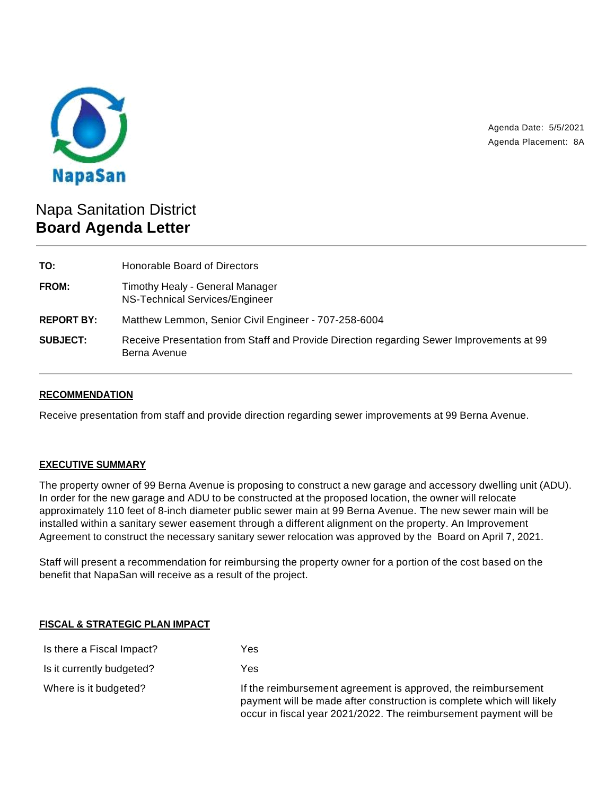

Agenda Date: 5/5/2021 Agenda Placement: 8A

# Napa Sanitation District **Board Agenda Letter**

| TO:               | Honorable Board of Directors                                                                             |  |
|-------------------|----------------------------------------------------------------------------------------------------------|--|
| FROM:             | Timothy Healy - General Manager<br>NS-Technical Services/Engineer                                        |  |
| <b>REPORT BY:</b> | Matthew Lemmon, Senior Civil Engineer - 707-258-6004                                                     |  |
| <b>SUBJECT:</b>   | Receive Presentation from Staff and Provide Direction regarding Sewer Improvements at 99<br>Berna Avenue |  |

## **RECOMMENDATION**

Receive presentation from staff and provide direction regarding sewer improvements at 99 Berna Avenue.

#### **EXECUTIVE SUMMARY**

The property owner of 99 Berna Avenue is proposing to construct a new garage and accessory dwelling unit (ADU). In order for the new garage and ADU to be constructed at the proposed location, the owner will relocate approximately 110 feet of 8-inch diameter public sewer main at 99 Berna Avenue. The new sewer main will be installed within a sanitary sewer easement through a different alignment on the property. An Improvement Agreement to construct the necessary sanitary sewer relocation was approved by the Board on April 7, 2021.

Staff will present a recommendation for reimbursing the property owner for a portion of the cost based on the benefit that NapaSan will receive as a result of the project.

#### **FISCAL & STRATEGIC PLAN IMPACT**

| Is there a Fiscal Impact? | Yes                                                                                                                                                                                                         |
|---------------------------|-------------------------------------------------------------------------------------------------------------------------------------------------------------------------------------------------------------|
| Is it currently budgeted? | Yes                                                                                                                                                                                                         |
| Where is it budgeted?     | If the reimbursement agreement is approved, the reimbursement<br>payment will be made after construction is complete which will likely<br>occur in fiscal year 2021/2022. The reimbursement payment will be |